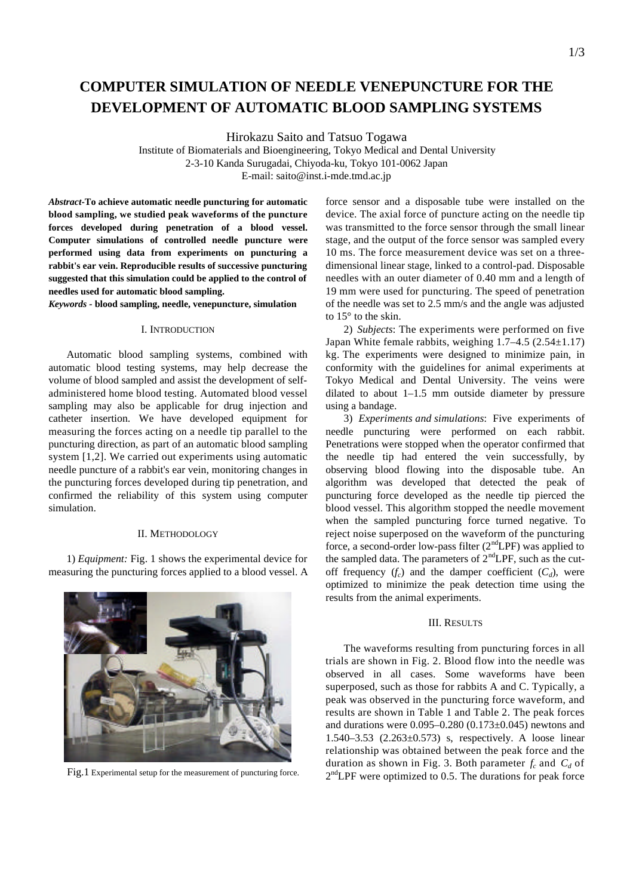# **COMPUTER SIMULATION OF NEEDLE VENEPUNCTURE FOR THE DEVELOPMENT OF AUTOMATIC BLOOD SAMPLING SYSTEMS**

Hirokazu Saito and Tatsuo Togawa

Institute of Biomaterials and Bioengineering, Tokyo Medical and Dental University 2-3-10 Kanda Surugadai, Chiyoda-ku, Tokyo 101-0062 Japan E-mail: saito@inst.i-mde.tmd.ac.jp

*Abstract***-To achieve automatic needle puncturing for automatic blood sampling, we studied peak waveforms of the puncture forces developed during penetration of a blood vessel. Computer simulations of controlled needle puncture were performed using data from experiments on puncturing a rabbit's ear vein. Reproducible results of successive puncturing suggested that this simulation could be applied to the control of needles used for automatic blood sampling.**

*Keywords -* **blood sampling, needle, venepuncture, simulation**

### I. INTRODUCTION

Automatic blood sampling systems, combined with automatic blood testing systems, may help decrease the volume of blood sampled and assist the development of selfadministered home blood testing. Automated blood vessel sampling may also be applicable for drug injection and catheter insertion. We have developed equipment for measuring the forces acting on a needle tip parallel to the puncturing direction, as part of an automatic blood sampling system [1,2]. We carried out experiments using automatic needle puncture of a rabbit's ear vein, monitoring changes in the puncturing forces developed during tip penetration, and confirmed the reliability of this system using computer simulation.

#### II. METHODOLOGY

1) *Equipment:* Fig. 1 shows the experimental device for measuring the puncturing forces applied to a blood vessel. A



force sensor and a disposable tube were installed on the device. The axial force of puncture acting on the needle tip was transmitted to the force sensor through the small linear stage, and the output of the force sensor was sampled every 10 ms. The force measurement device was set on a threedimensional linear stage, linked to a control-pad. Disposable needles with an outer diameter of 0.40 mm and a length of 19 mm were used for puncturing. The speed of penetration of the needle was set to 2.5 mm/s and the angle was adjusted to 15° to the skin.

2) *Subjects*: The experiments were performed on five Japan White female rabbits, weighing 1.7–4.5 (2.54±1.17) kg. The experiments were designed to minimize pain, in conformity with the guidelines for animal experiments at Tokyo Medical and Dental University. The veins were dilated to about 1–1.5 mm outside diameter by pressure using a bandage.

3) *Experiments and simulations*: Five experiments of needle puncturing were performed on each rabbit. Penetrations were stopped when the operator confirmed that the needle tip had entered the vein successfully, by observing blood flowing into the disposable tube. An algorithm was developed that detected the peak of puncturing force developed as the needle tip pierced the blood vessel. This algorithm stopped the needle movement when the sampled puncturing force turned negative. To reject noise superposed on the waveform of the puncturing force, a second-order low-pass filter  $(2<sup>nd</sup>LPF)$  was applied to the sampled data. The parameters of  $2<sup>nd</sup> LPF$ , such as the cutoff frequency  $(f_c)$  and the damper coefficient  $(C_d)$ , were optimized to minimize the peak detection time using the results from the animal experiments.

# III. RESULTS

The waveforms resulting from puncturing forces in all trials are shown in Fig. 2. Blood flow into the needle was observed in all cases. Some waveforms have been superposed, such as those for rabbits A and C. Typically, a peak was observed in the puncturing force waveform, and results are shown in Table 1 and Table 2. The peak forces and durations were 0.095–0.280 (0.173±0.045) newtons and 1.540–3.53 (2.263±0.573) s, respectively. A loose linear relationship was obtained between the peak force and the duration as shown in Fig. 3. Both parameter  $f_c$  and  $C_d$  of Fig.1 Experimental setup for the measurement of puncturing force.  $2^{nd}LPF$  were optimized to 0.5. The durations for peak force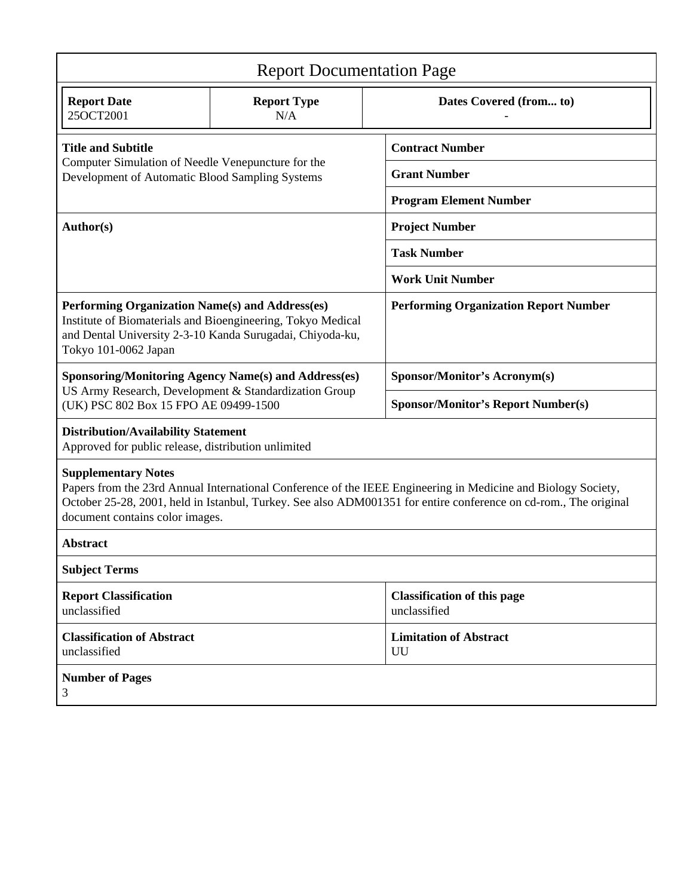| <b>Report Documentation Page</b>                                                                                                                                                                                                                                                                   |                                                                                                                          |                                                    |  |  |  |  |  |
|----------------------------------------------------------------------------------------------------------------------------------------------------------------------------------------------------------------------------------------------------------------------------------------------------|--------------------------------------------------------------------------------------------------------------------------|----------------------------------------------------|--|--|--|--|--|
| <b>Report Date</b><br>25OCT2001                                                                                                                                                                                                                                                                    | <b>Report Type</b><br>N/A                                                                                                | Dates Covered (from to)                            |  |  |  |  |  |
| <b>Title and Subtitle</b>                                                                                                                                                                                                                                                                          |                                                                                                                          | <b>Contract Number</b>                             |  |  |  |  |  |
| Computer Simulation of Needle Venepuncture for the<br>Development of Automatic Blood Sampling Systems                                                                                                                                                                                              |                                                                                                                          | <b>Grant Number</b>                                |  |  |  |  |  |
|                                                                                                                                                                                                                                                                                                    |                                                                                                                          | <b>Program Element Number</b>                      |  |  |  |  |  |
| Author(s)                                                                                                                                                                                                                                                                                          |                                                                                                                          | <b>Project Number</b>                              |  |  |  |  |  |
|                                                                                                                                                                                                                                                                                                    |                                                                                                                          | <b>Task Number</b>                                 |  |  |  |  |  |
|                                                                                                                                                                                                                                                                                                    |                                                                                                                          | <b>Work Unit Number</b>                            |  |  |  |  |  |
| Performing Organization Name(s) and Address(es)<br>Tokyo 101-0062 Japan                                                                                                                                                                                                                            | Institute of Biomaterials and Bioengineering, Tokyo Medical<br>and Dental University 2-3-10 Kanda Surugadai, Chiyoda-ku, | <b>Performing Organization Report Number</b>       |  |  |  |  |  |
|                                                                                                                                                                                                                                                                                                    | <b>Sponsoring/Monitoring Agency Name(s) and Address(es)</b>                                                              | Sponsor/Monitor's Acronym(s)                       |  |  |  |  |  |
| US Army Research, Development & Standardization Group<br>(UK) PSC 802 Box 15 FPO AE 09499-1500                                                                                                                                                                                                     |                                                                                                                          | <b>Sponsor/Monitor's Report Number(s)</b>          |  |  |  |  |  |
| <b>Distribution/Availability Statement</b><br>Approved for public release, distribution unlimited                                                                                                                                                                                                  |                                                                                                                          |                                                    |  |  |  |  |  |
| <b>Supplementary Notes</b><br>Papers from the 23rd Annual International Conference of the IEEE Engineering in Medicine and Biology Society,<br>October 25-28, 2001, held in Istanbul, Turkey. See also ADM001351 for entire conference on cd-rom., The original<br>document contains color images. |                                                                                                                          |                                                    |  |  |  |  |  |
| Abstract                                                                                                                                                                                                                                                                                           |                                                                                                                          |                                                    |  |  |  |  |  |
| <b>Subject Terms</b>                                                                                                                                                                                                                                                                               |                                                                                                                          |                                                    |  |  |  |  |  |
| <b>Report Classification</b><br>unclassified                                                                                                                                                                                                                                                       |                                                                                                                          | <b>Classification of this page</b><br>unclassified |  |  |  |  |  |
| <b>Classification of Abstract</b><br>unclassified                                                                                                                                                                                                                                                  | <b>Limitation of Abstract</b><br>UU                                                                                      |                                                    |  |  |  |  |  |
| <b>Number of Pages</b><br>3                                                                                                                                                                                                                                                                        |                                                                                                                          |                                                    |  |  |  |  |  |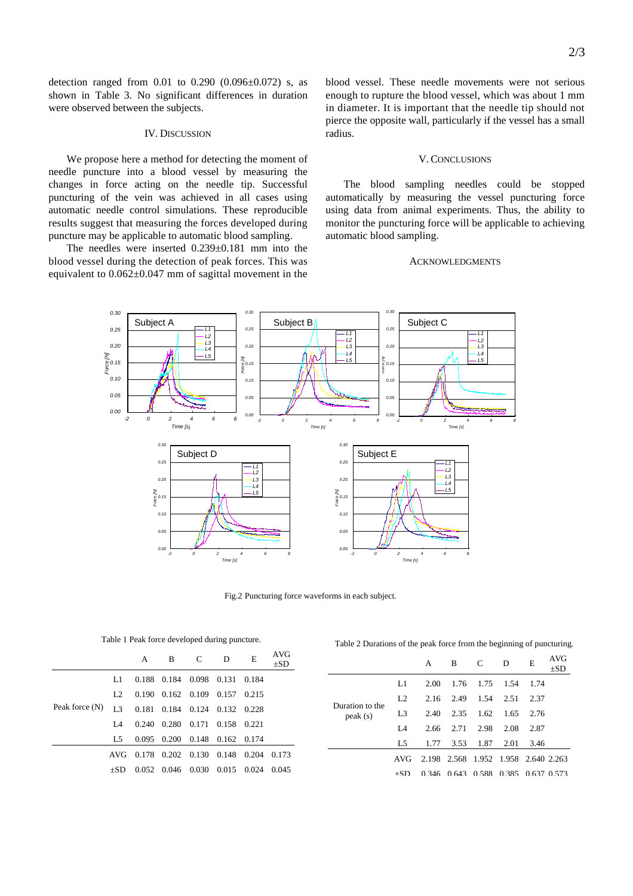detection ranged from  $0.01$  to  $0.290$   $(0.096 \pm 0.072)$  s, as shown in Table 3. No significant differences in duration were observed between the subjects.

# IV. DISCUSSION

We propose here a method for detecting the moment of needle puncture into a blood vessel by measuring the changes in force acting on the needle tip. Successful puncturing of the vein was achieved in all cases using automatic needle control simulations. These reproducible results suggest that measuring the forces developed during puncture may be applicable to automatic blood sampling.

The needles were inserted 0.239±0.181 mm into the blood vessel during the detection of peak forces. This was equivalent to 0.062±0.047 mm of sagittal movement in the blood vessel. These needle movements were not serious enough to rupture the blood vessel, which was about 1 mm in diameter. It is important that the needle tip should not pierce the opposite wall, particularly if the vessel has a small radius.

## V. CONCLUSIONS

The blood sampling needles could be stopped automatically by measuring the vessel puncturing force using data from animal experiments. Thus, the ability to monitor the puncturing force will be applicable to achieving automatic blood sampling.

## ACKNOWLEDGMENTS



Fig.2 Puncturing force waveforms in each subject.

| Table 2 Durations of the peak force from the beginning of puncturing. |  |  |
|-----------------------------------------------------------------------|--|--|
|                                                                       |  |  |

|                |                | A | B | C                                       | D | E | AVG<br>$\pm SD$ |
|----------------|----------------|---|---|-----------------------------------------|---|---|-----------------|
|                | L1             |   |   | 0.188 0.184 0.098 0.131 0.184           |   |   |                 |
|                | L <sub>2</sub> |   |   | $0.190$ $0.162$ $0.109$ $0.157$ $0.215$ |   |   |                 |
| Peak force (N) | L <sub>3</sub> |   |   | 0.181 0.184 0.124 0.132 0.228           |   |   |                 |
|                | I 4            |   |   | 0.240 0.280 0.171 0.158 0.221           |   |   |                 |
|                | L5.            |   |   | 0.095 0.200 0.148 0.162 0.174           |   |   |                 |
|                | AVG            |   |   | 0.178 0.202 0.130 0.148 0.204 0.173     |   |   |                 |
|                | $+SD$          |   |   | 0.052 0.046 0.030 0.015 0.024           |   |   | 0.045           |

Table 1 Peak force developed during puncture.

|                             |                | A    | B                 | C                                   | D              | E    | AVG<br>+SD |
|-----------------------------|----------------|------|-------------------|-------------------------------------|----------------|------|------------|
|                             | L1             | 2.00 | 1.76              | 1.75                                | 1.54           | 1.74 |            |
| Duration to the<br>peak (s) | L <sub>2</sub> | 2.16 | 2.49              | 1.54                                | 2.51           | 2.37 |            |
|                             | L <sub>3</sub> | 2.40 | 2.35              | 1.62                                | 1.65           | 2.76 |            |
|                             | I 4            | 2.66 | 2.71              | 2.98                                | 2.08           | 2.87 |            |
|                             | L5             | 1.77 | 3.53              | 1.87                                | 2.01           | 3.46 |            |
|                             | AVG            |      |                   | 2.198 2.568 1.952 1.958 2.640 2.263 |                |      |            |
|                             | $+ST$          |      | 0.346 0.643 0.588 |                                     | 0385 0637 0573 |      |            |